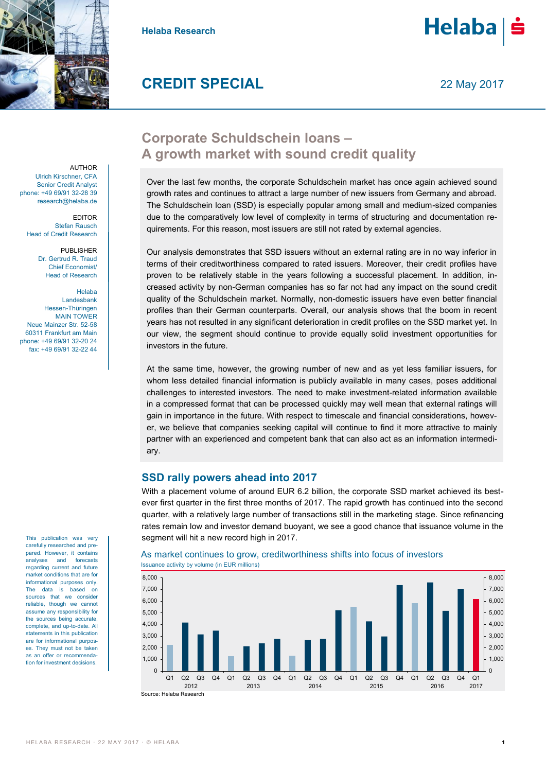

**Helaba Research**



**CREDIT SPECIAL**

22 May 2017

**AUTHOR** Ulrich Kirschner, CFA Senior Credit Analyst phone: +49 69/91 32-28 39 research@helaba.de

EDITOR Stefan Rausch Head of Credit Research

> PUBLISHER Dr. Gertrud R. Traud Chief Economist/ Head of Research

Helaba Landesbank Hessen-Thüringen MAIN TOWER Neue Mainzer Str. 52-58 60311 Frankfurt am Main phone: +49 69/91 32-20 24 fax: +49 69/91 32-22 44

This publication was very carefully researched and prepared. However, it contains analyses and forecasts regarding current and future market conditions that are for informational purposes only. The data is based on sources that we consider reliable, though we cannot assume any responsibility for the sources being accurate, complete, and up-to-date. All statements in this publication are for informational purposes. They must not be taken as an offer or recommendation for investment decisions.

# **Corporate Schuldschein loans – A growth market with sound credit quality**

Over the last few months, the corporate Schuldschein market has once again achieved sound growth rates and continues to attract a large number of new issuers from Germany and abroad. The Schuldschein loan (SSD) is especially popular among small and medium-sized companies due to the comparatively low level of complexity in terms of structuring and documentation requirements. For this reason, most issuers are still not rated by external agencies.

Our analysis demonstrates that SSD issuers without an external rating are in no way inferior in terms of their creditworthiness compared to rated issuers. Moreover, their credit profiles have proven to be relatively stable in the years following a successful placement. In addition, increased activity by non-German companies has so far not had any impact on the sound credit quality of the Schuldschein market. Normally, non-domestic issuers have even better financial profiles than their German counterparts. Overall, our analysis shows that the boom in recent years has not resulted in any significant deterioration in credit profiles on the SSD market yet. In our view, the segment should continue to provide equally solid investment opportunities for investors in the future.

At the same time, however, the growing number of new and as yet less familiar issuers, for whom less detailed financial information is publicly available in many cases, poses additional challenges to interested investors. The need to make investment-related information available in a compressed format that can be processed quickly may well mean that external ratings will gain in importance in the future. With respect to timescale and financial considerations, however, we believe that companies seeking capital will continue to find it more attractive to mainly partner with an experienced and competent bank that can also act as an information intermediary.

#### **SSD rally powers ahead into 2017**

With a placement volume of around EUR 6.2 billion, the corporate SSD market achieved its bestever first quarter in the first three months of 2017. The rapid growth has continued into the second quarter, with a relatively large number of transactions still in the marketing stage. Since refinancing rates remain low and investor demand buoyant, we see a good chance that issuance volume in the segment will hit a new record high in 2017.

### As market continues to grow, creditworthiness shifts into focus of investors Issuance activity by volume (in EUR millions)

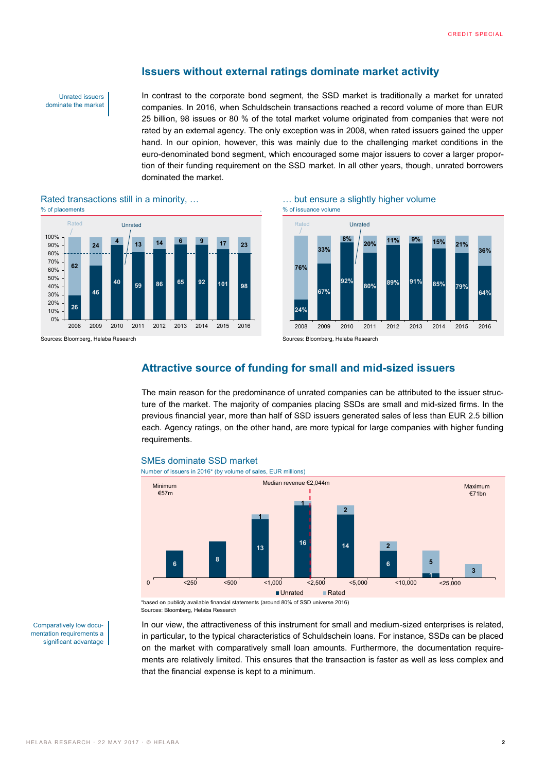#### **Issuers without external ratings dominate market activity**

Unrated issuers dominate the market In contrast to the corporate bond segment, the SSD market is traditionally a market for unrated companies. In 2016, when Schuldschein transactions reached a record volume of more than EUR 25 billion, 98 issues or 80 % of the total market volume originated from companies that were not rated by an external agency. The only exception was in 2008, when rated issuers gained the upper hand. In our opinion, however, this was mainly due to the challenging market conditions in the euro-denominated bond segment, which encouraged some major issuers to cover a larger proportion of their funding requirement on the SSD market. In all other years, though, unrated borrowers dominated the market.

#### Rated transactions still in a minority, ... **EXECUTE:** Notice a slightly higher volume % of placements . % of issuance volume



Sources: Bloomberg, Helaba Research Sources: Bloomberg, Helaba Research Sources: Bloomberg, Helaba Research





#### **Attractive source of funding for small and mid-sized issuers**

The main reason for the predominance of unrated companies can be attributed to the issuer structure of the market. The majority of companies placing SSDs are small and mid-sized firms. In the previous financial year, more than half of SSD issuers generated sales of less than EUR 2.5 billion each. Agency ratings, on the other hand, are more typical for large companies with higher funding requirements.



SMEs dominate SSD market Number of issuers in 2016\* (by volume of sales, EUR millions)

\*based on publicly available financial statements (around 80% of SSD universe 2016) Sources: Bloomberg, Helaba Research

Comparatively low documentation requirements a significant advantage

In our view, the attractiveness of this instrument for small and medium-sized enterprises is related, in particular, to the typical characteristics of Schuldschein loans. For instance, SSDs can be placed on the market with comparatively small loan amounts. Furthermore, the documentation requirements are relatively limited. This ensures that the transaction is faster as well as less complex and that the financial expense is kept to a minimum.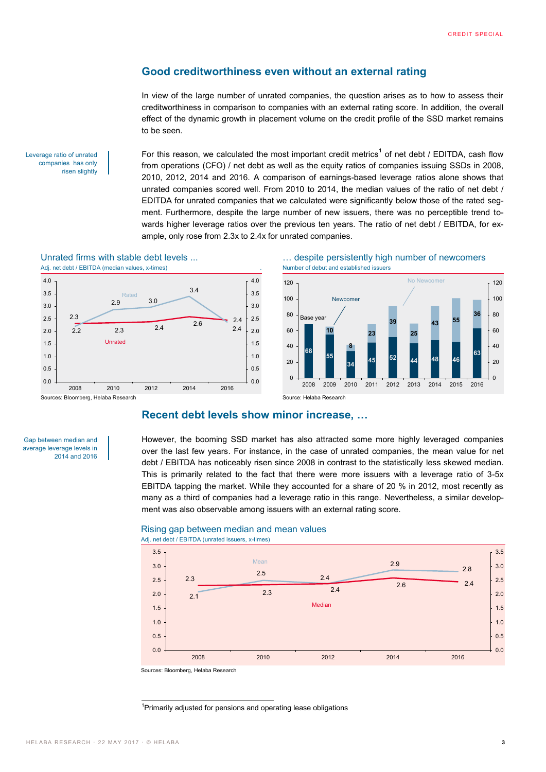# **Good creditworthiness even without an external rating**

In view of the large number of unrated companies, the question arises as to how to assess their creditworthiness in comparison to companies with an external rating score. In addition, the overall effect of the dynamic growth in placement volume on the credit profile of the SSD market remains to be seen.

Leverage ratio of unrated companies has only risen slightly

For this reason, we calculated the most important credit metrics<sup>1</sup> of net debt / EDITDA, cash flow from operations (CFO) / net debt as well as the equity ratios of companies issuing SSDs in 2008, 2010, 2012, 2014 and 2016. A comparison of earnings-based leverage ratios alone shows that unrated companies scored well. From 2010 to 2014, the median values of the ratio of net debt / EDITDA for unrated companies that we calculated were significantly below those of the rated segment. Furthermore, despite the large number of new issuers, there was no perceptible trend towards higher leverage ratios over the previous ten years. The ratio of net debt / EBITDA, for example, only rose from 2.3x to 2.4x for unrated companies.



2008 2010 2012 2014 2016





#### **Recent debt levels show minor increase, …**

0.0 0.5 1.0 1.5  $2.0$ 2.5 3.0 3.5 4.0

Gap between median and average leverage levels in 2014 and 2016

0.0 0.5 1.0

> However, the booming SSD market has also attracted some more highly leveraged companies over the last few years. For instance, in the case of unrated companies, the mean value for net debt / EBITDA has noticeably risen since 2008 in contrast to the statistically less skewed median. This is primarily related to the fact that there were more issuers with a leverage ratio of 3-5x EBITDA tapping the market. While they accounted for a share of 20 % in 2012, most recently as many as a third of companies had a leverage ratio in this range. Nevertheless, a similar development was also observable among issuers with an external rating score.



#### Rising gap between median and mean values

-<sup>1</sup>Primarily adjusted for pensions and operating lease obligations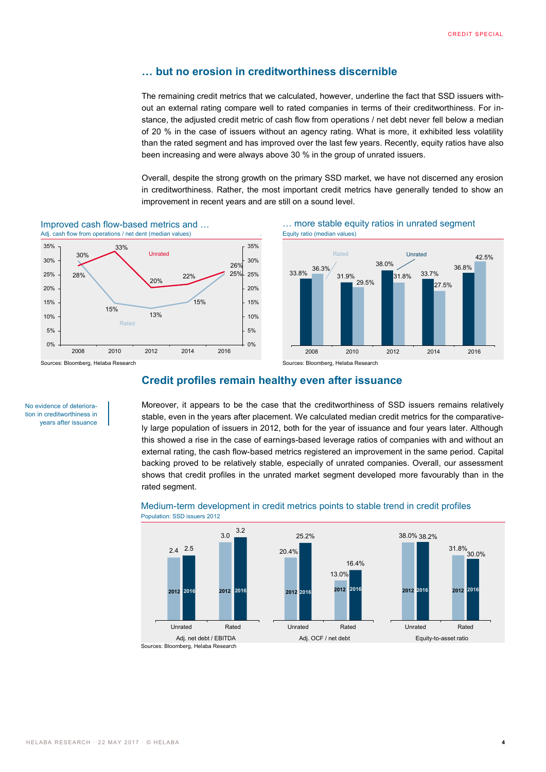# **… but no erosion in creditworthiness discernible**

The remaining credit metrics that we calculated, however, underline the fact that SSD issuers without an external rating compare well to rated companies in terms of their creditworthiness. For instance, the adjusted credit metric of cash flow from operations / net debt never fell below a median of 20 % in the case of issuers without an agency rating. What is more, it exhibited less volatility than the rated segment and has improved over the last few years. Recently, equity ratios have also been increasing and were always above 30 % in the group of unrated issuers.

Overall, despite the strong growth on the primary SSD market, we have not discerned any erosion in creditworthiness. Rather, the most important credit metrics have generally tended to show an improvement in recent years and are still on a sound level.



Improved cash flow-based metrics and ...<br>
Adj. cash flow from operations / net dent (median values)<br>
Equity ratio (median values)



#### **Credit profiles remain healthy even after issuance**

No evidence of deterioration in creditworthiness in years after issuance Moreover, it appears to be the case that the creditworthiness of SSD issuers remains relatively stable, even in the years after placement. We calculated median credit metrics for the comparatively large population of issuers in 2012, both for the year of issuance and four years later. Although this showed a rise in the case of earnings-based leverage ratios of companies with and without an external rating, the cash flow-based metrics registered an improvement in the same period. Capital backing proved to be relatively stable, especially of unrated companies. Overall, our assessment shows that credit profiles in the unrated market segment developed more favourably than in the rated segment.



#### Medium-term development in credit metrics points to stable trend in credit profiles Population: SSD issuers 2012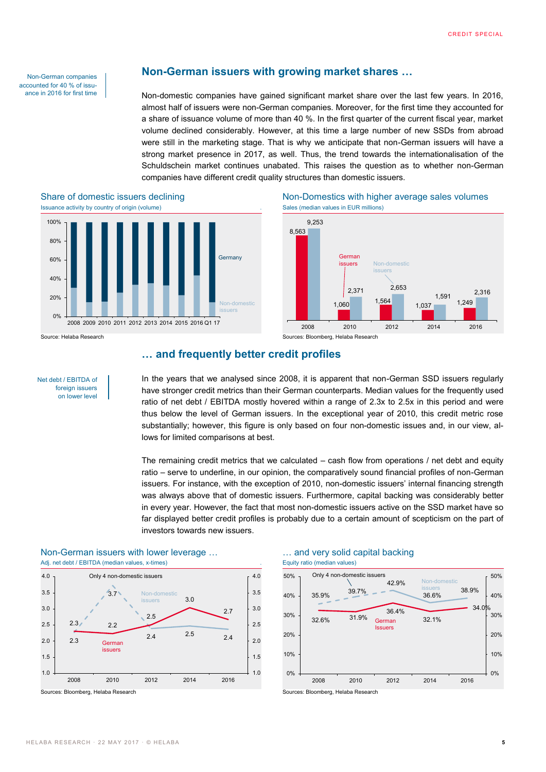Non-German companies accounted for 40 % of issuance in 2016 for first time

#### **Non-German issuers with growing market shares …**

Non-domestic companies have gained significant market share over the last few years. In 2016, almost half of issuers were non-German companies. Moreover, for the first time they accounted for a share of issuance volume of more than 40 %. In the first quarter of the current fiscal year, market volume declined considerably. However, at this time a large number of new SSDs from abroad were still in the marketing stage. That is why we anticipate that non-German issuers will have a strong market presence in 2017, as well. Thus, the trend towards the internationalisation of the Schuldschein market continues unabated. This raises the question as to whether non-German companies have different credit quality structures than domestic issuers.



# Share of domestic issuers declining Non-Domestics with higher average sales volumes





#### Net debt / EBITDA of foreign issuers on lower level

In the years that we analysed since 2008, it is apparent that non-German SSD issuers regularly have stronger credit metrics than their German counterparts. Median values for the frequently used ratio of net debt / EBITDA mostly hovered within a range of 2.3x to 2.5x in this period and were thus below the level of German issuers. In the exceptional year of 2010, this credit metric rose substantially; however, this figure is only based on four non-domestic issues and, in our view, al-

The remaining credit metrics that we calculated – cash flow from operations / net debt and equity ratio – serve to underline, in our opinion, the comparatively sound financial profiles of non-German issuers. For instance, with the exception of 2010, non-domestic issuers' internal financing strength was always above that of domestic issuers. Furthermore, capital backing was considerably better in every year. However, the fact that most non-domestic issuers active on the SSD market have so far displayed better credit profiles is probably due to a certain amount of scepticism on the part of investors towards new issuers.





# **… and frequently better credit profiles**

lows for limited comparisons at best.